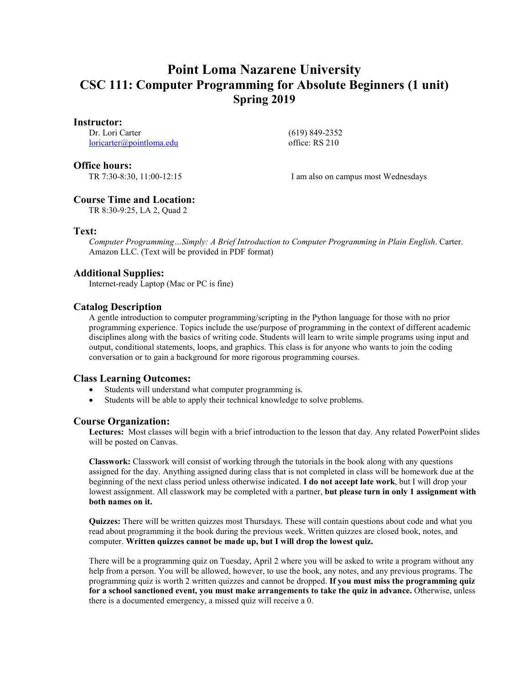# **Point Loma Nazarene University CSC 111: Computer Programming for Absolute Beginners (1 unit) Spring 2019**

#### **Instructor:**

Dr. Lori Carter [loricarter@pointloma.edu](mailto:loricarter@pointloma.edu)  (619) 849-2352 office: RS 210

#### **Office hours:**

TR 7:30-8:30, 11:00-12:15 I am also on campus most Wednesdays

# **Course Time and Location:**

TR 8:30-9:25, LA 2, Quad 2

### **Text:**

*Computer Programming…Simply: A Brief Introduction to Computer Programming in Plain English*. Carter. Amazon LLC. (Text will be provided in PDF format)

# **Additional Supplies:**

Internet-ready Laptop (Mac or PC is fine)

# **Catalog Description**

A gentle introduction to computer programming/scripting in the Python language for those with no prior programming experience. Topics include the use/purpose of programming in the context of different academic disciplines along with the basics of writing code. Students will learn to write simple programs using input and output, conditional statements, loops, and graphics. This class is for anyone who wants to join the coding conversation or to gain a background for more rigorous programming courses.

# **Class Learning Outcomes:**

- Students will understand what computer programming is.
- Students will be able to apply their technical knowledge to solve problems.

# **Course Organization:**

**Lectures:** Most classes will begin with a brief introduction to the lesson that day. Any related PowerPoint slides will be posted on Canvas.

**Classwork:** Classwork will consist of working through the tutorials in the book along with any questions assigned for the day. Anything assigned during class that is not completed in class will be homework due at the beginning of the next class period unless otherwise indicated. **I do not accept late work**, but I will drop your lowest assignment. All classwork may be completed with a partner, **but please turn in only 1 assignment with both names on it.**

**Quizzes:** There will be written quizzes most Thursdays. These will contain questions about code and what you read about programming it the book during the previous week. Written quizzes are closed book, notes, and computer. **Written quizzes cannot be made up, but I will drop the lowest quiz.**

There will be a programming quiz on Tuesday, April 2 where you will be asked to write a program without any help from a person. You will be allowed, however, to use the book, any notes, and any previous programs. The programming quiz is worth 2 written quizzes and cannot be dropped. **If you must miss the programming quiz for a school sanctioned event, you must make arrangements to take the quiz in advance.** Otherwise, unless there is a documented emergency, a missed quiz will receive a 0.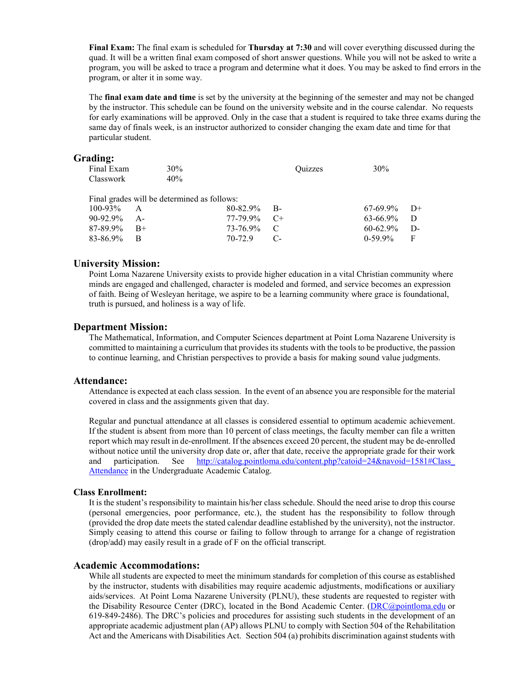**Final Exam:** The final exam is scheduled for **Thursday at 7:30** and will cover everything discussed during the quad. It will be a written final exam composed of short answer questions. While you will not be asked to write a program, you will be asked to trace a program and determine what it does. You may be asked to find errors in the program, or alter it in some way.

The **final exam date and time** is set by the university at the beginning of the semester and may not be changed by the instructor. This schedule can be found on the university website and in the course calendar. No requests for early examinations will be approved. Only in the case that a student is required to take three exams during the same day of finals week, is an instructor authorized to consider changing the exam date and time for that particular student.

#### **Grading:**

| Final Exam    | $30\%$                                      |          | <b>Ouizzes</b> | 30%           |        |
|---------------|---------------------------------------------|----------|----------------|---------------|--------|
| Classwork     | 40%                                         |          |                |               |        |
|               |                                             |          |                |               |        |
|               | Final grades will be determined as follows: |          |                |               |        |
| $100 - 93\%$  | A                                           | 80-82.9% | - B-           | 67-69.9%      | $D+$   |
| $90 - 92.9\%$ | $A -$                                       | 77-79.9% | $C+$           | $63 - 66.9\%$ | $\Box$ |
| 87-89.9%      | $B+$                                        | 73-76.9% | C              | $60 - 62.9\%$ | D-     |
| 83-86.9%      |                                             | 70-72.9  |                | $0-59.9\%$    | F      |

#### **University Mission:**

Point Loma Nazarene University exists to provide higher education in a vital Christian community where minds are engaged and challenged, character is modeled and formed, and service becomes an expression of faith. Being of Wesleyan heritage, we aspire to be a learning community where grace is foundational, truth is pursued, and holiness is a way of life.

#### **Department Mission:**

The Mathematical, Information, and Computer Sciences department at Point Loma Nazarene University is committed to maintaining a curriculum that provides its students with the tools to be productive, the passion to continue learning, and Christian perspectives to provide a basis for making sound value judgments.

#### **Attendance:**

Attendance is expected at each class session. In the event of an absence you are responsible for the material covered in class and the assignments given that day.

Regular and punctual attendance at all classes is considered essential to optimum academic achievement. If the student is absent from more than 10 percent of class meetings, the faculty member can file a written report which may result in de-enrollment. If the absences exceed 20 percent, the student may be de-enrolled without notice until the university drop date or, after that date, receive the appropriate grade for their work and participation. See http://catalog.pointloma.edu/content.php?catoid=24&navoid=1581#Class [Attendance](http://catalog.pointloma.edu/content.php?catoid=24&navoid=1581#Class_Attendance) in the Undergraduate Academic Catalog.

#### **Class Enrollment:**

It is the student's responsibility to maintain his/her class schedule. Should the need arise to drop this course (personal emergencies, poor performance, etc.), the student has the responsibility to follow through (provided the drop date meets the stated calendar deadline established by the university), not the instructor. Simply ceasing to attend this course or failing to follow through to arrange for a change of registration (drop/add) may easily result in a grade of F on the official transcript.

#### **Academic Accommodations:**

While all students are expected to meet the minimum standards for completion of this course as established by the instructor, students with disabilities may require academic adjustments, modifications or auxiliary aids/services. At Point Loma Nazarene University (PLNU), these students are requested to register with the Disability Resource Center (DRC), located in the Bond Academic Center. [\(DRC@pointloma.edu](mailto:DRC@pointloma.edu) or 619-849-2486). The DRC's policies and procedures for assisting such students in the development of an appropriate academic adjustment plan (AP) allows PLNU to comply with Section 504 of the Rehabilitation Act and the Americans with Disabilities Act. Section 504 (a) prohibits discrimination against students with